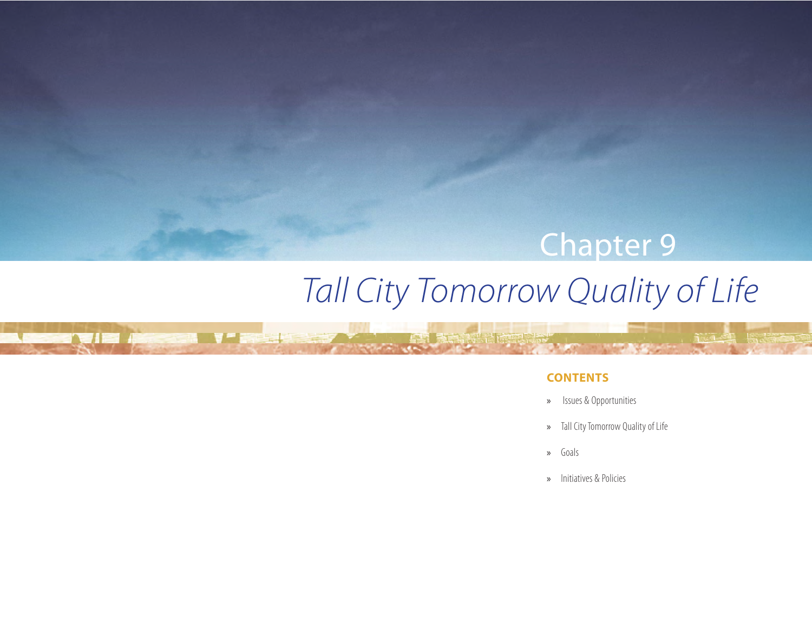# *Tall City Tomorrow Quality of Life* Chapter 9

V a la

e vije Alexandr

# **CONTENTS**

- » Issues & Opportunities
- » Tall City Tomorrow Quality of Life
- » Goals
- » Initiatives & Policies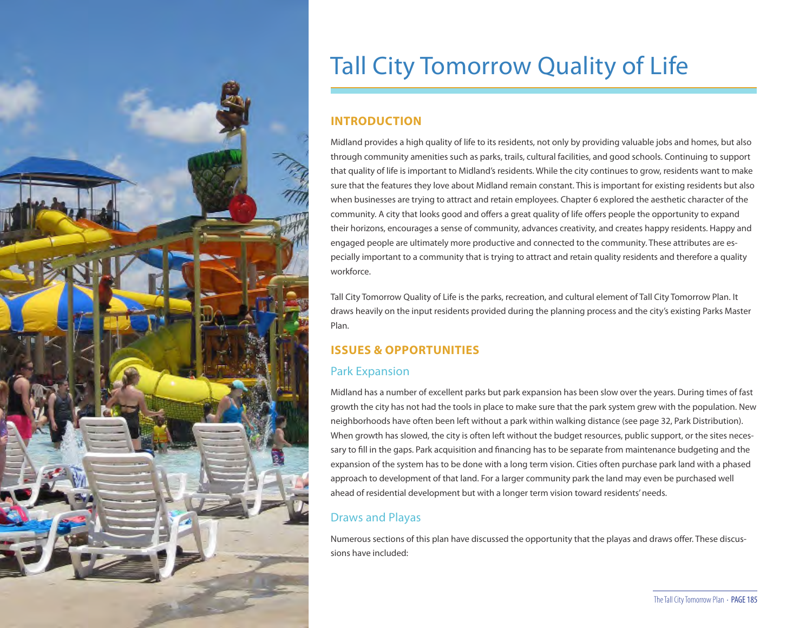

# Tall City Tomorrow Quality of Life

# **INTRODUCTION**

Midland provides a high quality of life to its residents, not only by providing valuable jobs and homes, but also through community amenities such as parks, trails, cultural facilities, and good schools. Continuing to support that quality of life is important to Midland's residents. While the city continues to grow, residents want to make sure that the features they love about Midland remain constant. This is important for existing residents but also when businesses are trying to attract and retain employees. Chapter 6 explored the aesthetic character of the community. A city that looks good and offers a great quality of life offers people the opportunity to expand their horizons, encourages a sense of community, advances creativity, and creates happy residents. Happy and engaged people are ultimately more productive and connected to the community. These attributes are especially important to a community that is trying to attract and retain quality residents and therefore a quality workforce.

Tall City Tomorrow Quality of Life is the parks, recreation, and cultural element of Tall City Tomorrow Plan. It draws heavily on the input residents provided during the planning process and the city's existing Parks Master Plan.

# **ISSUES & OPPORTUNITIES**

# Park Expansion

Midland has a number of excellent parks but park expansion has been slow over the years. During times of fast growth the city has not had the tools in place to make sure that the park system grew with the population. New neighborhoods have often been left without a park within walking distance (see page 32, Park Distribution). When growth has slowed, the city is often left without the budget resources, public support, or the sites necessary to fill in the gaps. Park acquisition and financing has to be separate from maintenance budgeting and the expansion of the system has to be done with a long term vision. Cities often purchase park land with a phased approach to development of that land. For a larger community park the land may even be purchased well ahead of residential development but with a longer term vision toward residents' needs.

# Draws and Playas

Numerous sections of this plan have discussed the opportunity that the playas and draws offer. These discussions have included: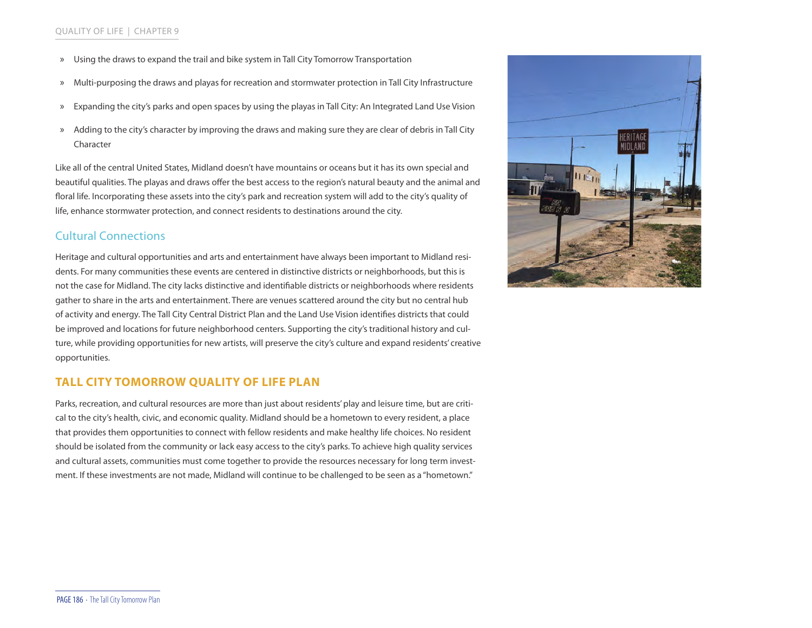- » Using the draws to expand the trail and bike system in Tall City Tomorrow Transportation
- » Multi-purposing the draws and playas for recreation and stormwater protection in Tall City Infrastructure
- » Expanding the city's parks and open spaces by using the playas in Tall City: An Integrated Land Use Vision
- » Adding to the city's character by improving the draws and making sure they are clear of debris in Tall City Character

Like all of the central United States, Midland doesn't have mountains or oceans but it has its own special and beautiful qualities. The playas and draws offer the best access to the region's natural beauty and the animal and floral life. Incorporating these assets into the city's park and recreation system will add to the city's quality of life, enhance stormwater protection, and connect residents to destinations around the city.

# Cultural Connections

Heritage and cultural opportunities and arts and entertainment have always been important to Midland residents. For many communities these events are centered in distinctive districts or neighborhoods, but this is not the case for Midland. The city lacks distinctive and identifiable districts or neighborhoods where residents gather to share in the arts and entertainment. There are venues scattered around the city but no central hub of activity and energy. The Tall City Central District Plan and the Land Use Vision identifies districts that could be improved and locations for future neighborhood centers. Supporting the city's traditional history and culture, while providing opportunities for new artists, will preserve the city's culture and expand residents' creative opportunities.

# **TALL CITY TOMORROW QUALITY OF LIFE PLAN**

Parks, recreation, and cultural resources are more than just about residents' play and leisure time, but are critical to the city's health, civic, and economic quality. Midland should be a hometown to every resident, a place that provides them opportunities to connect with fellow residents and make healthy life choices. No resident should be isolated from the community or lack easy access to the city's parks. To achieve high quality services and cultural assets, communities must come together to provide the resources necessary for long term investment. If these investments are not made, Midland will continue to be challenged to be seen as a "hometown."

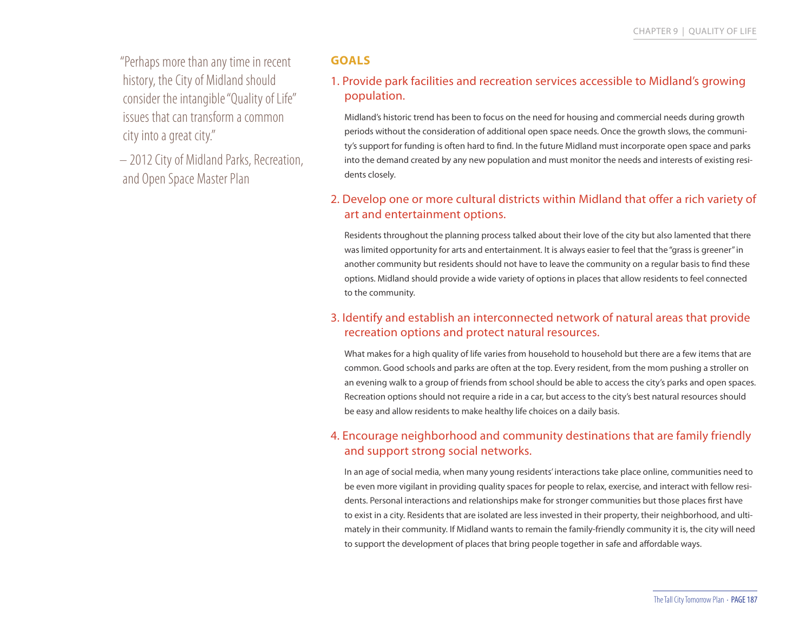"Perhaps more than any time in recent history, the City of Midland should consider the intangible "Quality of Life" issues that can transform a common city into a great city."

– 2012 City of Midland Parks, Recreation, and Open Space Master Plan

# **GOALS**

# 1. Provide park facilities and recreation services accessible to Midland's growing population.

Midland's historic trend has been to focus on the need for housing and commercial needs during growth periods without the consideration of additional open space needs. Once the growth slows, the community's support for funding is often hard to find. In the future Midland must incorporate open space and parks into the demand created by any new population and must monitor the needs and interests of existing residents closely.

# 2. Develop one or more cultural districts within Midland that offer a rich variety of art and entertainment options.

Residents throughout the planning process talked about their love of the city but also lamented that there was limited opportunity for arts and entertainment. It is always easier to feel that the "grass is greener" in another community but residents should not have to leave the community on a regular basis to find these options. Midland should provide a wide variety of options in places that allow residents to feel connected to the community.

# 3. Identify and establish an interconnected network of natural areas that provide recreation options and protect natural resources.

What makes for a high quality of life varies from household to household but there are a few items that are common. Good schools and parks are often at the top. Every resident, from the mom pushing a stroller on an evening walk to a group of friends from school should be able to access the city's parks and open spaces. Recreation options should not require a ride in a car, but access to the city's best natural resources should be easy and allow residents to make healthy life choices on a daily basis.

# 4. Encourage neighborhood and community destinations that are family friendly and support strong social networks.

In an age of social media, when many young residents' interactions take place online, communities need to be even more vigilant in providing quality spaces for people to relax, exercise, and interact with fellow residents. Personal interactions and relationships make for stronger communities but those places first have to exist in a city. Residents that are isolated are less invested in their property, their neighborhood, and ultimately in their community. If Midland wants to remain the family-friendly community it is, the city will need to support the development of places that bring people together in safe and affordable ways.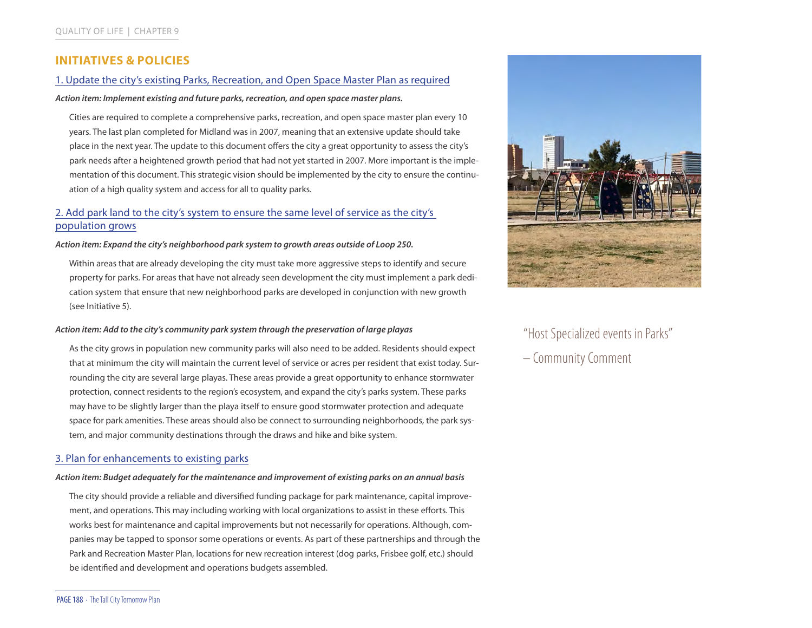# **INITIATIVES & POLICIES**

#### 1. Update the city's existing Parks, Recreation, and Open Space Master Plan as required

*Action item: Implement existing and future parks, recreation, and open space master plans.* 

Cities are required to complete a comprehensive parks, recreation, and open space master plan every 10 years. The last plan completed for Midland was in 2007, meaning that an extensive update should take place in the next year. The update to this document offers the city a great opportunity to assess the city's park needs after a heightened growth period that had not yet started in 2007. More important is the implementation of this document. This strategic vision should be implemented by the city to ensure the continuation of a high quality system and access for all to quality parks.

# 2. Add park land to the city's system to ensure the same level of service as the city's population grows

*Action item: Expand the city's neighborhood park system to growth areas outside of Loop 250.* 

Within areas that are already developing the city must take more aggressive steps to identify and secure property for parks. For areas that have not already seen development the city must implement a park dedication system that ensure that new neighborhood parks are developed in conjunction with new growth (see Initiative 5).

#### *Action item: Add to the city's community park system through the preservation of large playas*

As the city grows in population new community parks will also need to be added. Residents should expect that at minimum the city will maintain the current level of service or acres per resident that exist today. Surrounding the city are several large playas. These areas provide a great opportunity to enhance stormwater protection, connect residents to the region's ecosystem, and expand the city's parks system. These parks may have to be slightly larger than the playa itself to ensure good stormwater protection and adequate space for park amenities. These areas should also be connect to surrounding neighborhoods, the park system, and major community destinations through the draws and hike and bike system.

### 3. Plan for enhancements to existing parks

#### *Action item: Budget adequately for the maintenance and improvement of existing parks on an annual basis*

The city should provide a reliable and diversified funding package for park maintenance, capital improvement, and operations. This may including working with local organizations to assist in these efforts. This works best for maintenance and capital improvements but not necessarily for operations. Although, companies may be tapped to sponsor some operations or events. As part of these partnerships and through the Park and Recreation Master Plan, locations for new recreation interest (dog parks, Frisbee golf, etc.) should be identified and development and operations budgets assembled.



"Host Specialized events in Parks"

– Community Comment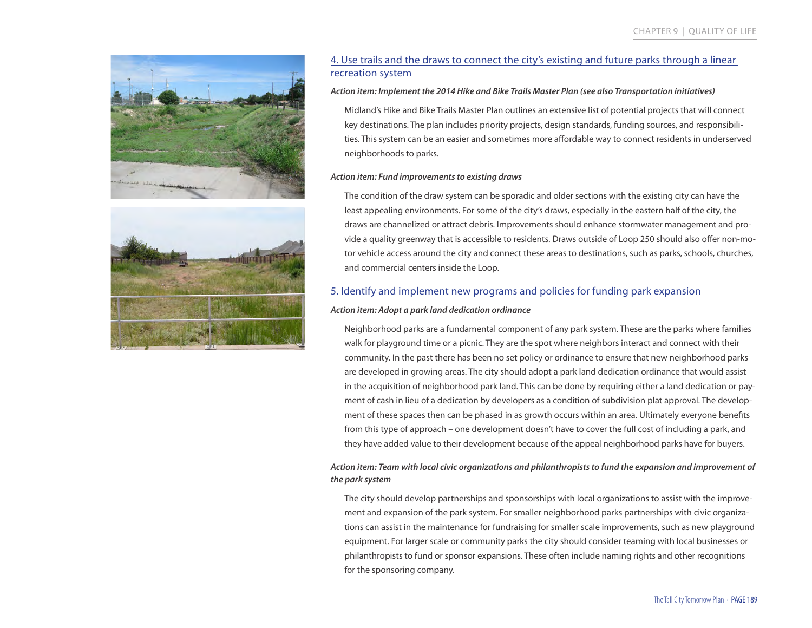



# 4. Use trails and the draws to connect the city's existing and future parks through a linear recreation system

#### *Action item: Implement the 2014 Hike and Bike Trails Master Plan (see also Transportation initiatives)*

Midland's Hike and Bike Trails Master Plan outlines an extensive list of potential projects that will connect key destinations. The plan includes priority projects, design standards, funding sources, and responsibilities. This system can be an easier and sometimes more affordable way to connect residents in underserved neighborhoods to parks.

#### *Action item: Fund improvements to existing draws*

The condition of the draw system can be sporadic and older sections with the existing city can have the least appealing environments. For some of the city's draws, especially in the eastern half of the city, the draws are channelized or attract debris. Improvements should enhance stormwater management and provide a quality greenway that is accessible to residents. Draws outside of Loop 250 should also offer non-motor vehicle access around the city and connect these areas to destinations, such as parks, schools, churches, and commercial centers inside the Loop.

#### 5. Identify and implement new programs and policies for funding park expansion

#### *Action item: Adopt a park land dedication ordinance*

Neighborhood parks are a fundamental component of any park system. These are the parks where families walk for playground time or a picnic. They are the spot where neighbors interact and connect with their community. In the past there has been no set policy or ordinance to ensure that new neighborhood parks are developed in growing areas. The city should adopt a park land dedication ordinance that would assist in the acquisition of neighborhood park land. This can be done by requiring either a land dedication or payment of cash in lieu of a dedication by developers as a condition of subdivision plat approval. The development of these spaces then can be phased in as growth occurs within an area. Ultimately everyone benefits from this type of approach – one development doesn't have to cover the full cost of including a park, and they have added value to their development because of the appeal neighborhood parks have for buyers.

#### *Action item: Team with local civic organizations and philanthropists to fund the expansion and improvement of the park system*

The city should develop partnerships and sponsorships with local organizations to assist with the improvement and expansion of the park system. For smaller neighborhood parks partnerships with civic organizations can assist in the maintenance for fundraising for smaller scale improvements, such as new playground equipment. For larger scale or community parks the city should consider teaming with local businesses or philanthropists to fund or sponsor expansions. These often include naming rights and other recognitions for the sponsoring company.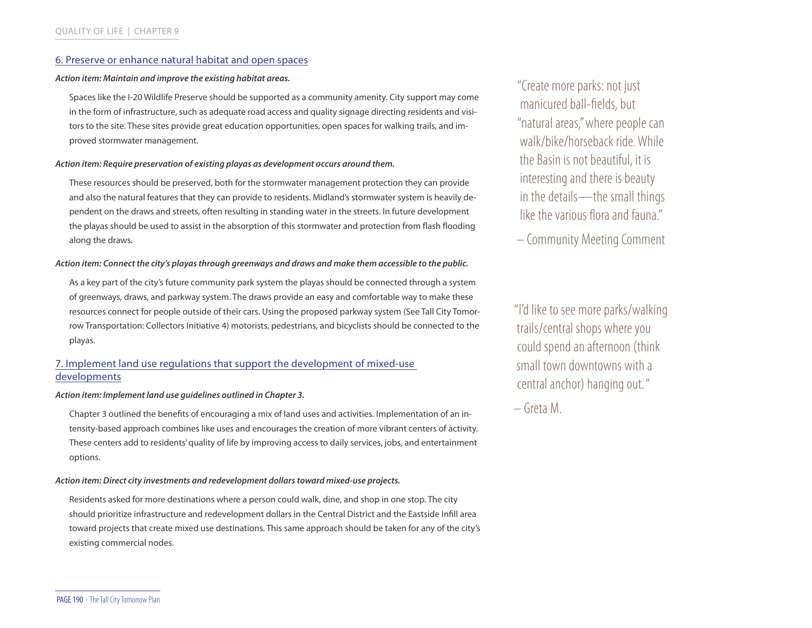# 6. Preserve or enhance natural habitat and open spaces

#### *Action item: Maintain and improve the existing habitat areas.*

Spaces like the I-20 Wildlife Preserve should be supported as a community amenity. City support may come in the form of infrastructure, such as adequate road access and quality signage directing residents and visitors to the site. These sites provide great education opportunities, open spaces for walking trails, and improved stormwater management.

#### *Action item: Require preservation of existing playas as development occurs around them.*

These resources should be preserved, both for the stormwater management protection they can provide and also the natural features that they can provide to residents. Midland's stormwater system is heavily dependent on the draws and streets, often resulting in standing water in the streets. In future development the playas should be used to assist in the absorption of this stormwater and protection from flash flooding along the draws.

#### *Action item: Connect the city's playas through greenways and draws and make them accessible to the public.*

As a key part of the city's future community park system the playas should be connected through a system of greenways, draws, and parkway system. The draws provide an easy and comfortable way to make these resources connect for people outside of their cars. Using the proposed parkway system (See Tall City Tomorrow Transportation: Collectors Initiative 4) motorists, pedestrians, and bicyclists should be connected to the playas.

# 7. Implement land use regulations that support the development of mixed-use developments

#### *Action item: Implement land use guidelines outlined in Chapter 3.*

Chapter 3 outlined the benefits of encouraging a mix of land uses and activities. Implementation of an intensity-based approach combines like uses and encourages the creation of more vibrant centers of activity. These centers add to residents' quality of life by improving access to daily services, jobs, and entertainment options.

#### *Action item: Direct city investments and redevelopment dollars toward mixed-use projects.*

Residents asked for more destinations where a person could walk, dine, and shop in one stop. The city should prioritize infrastructure and redevelopment dollars in the Central District and the Eastside Infill area toward projects that create mixed use destinations. This same approach should be taken for any of the city's existing commercial nodes.

"Create more parks: not just manicured ball-fields, but "natural areas," where people can walk/bike/horseback ride. While the Basin is not beautiful, it is interesting and there is beauty in the details—the small things like the various flora and fauna"

– Community Meeting Comment

"I'd like to see more parks/walking trails/central shops where you could spend an afternoon (think small town downtowns with a central anchor) hanging out. "

– Greta M.